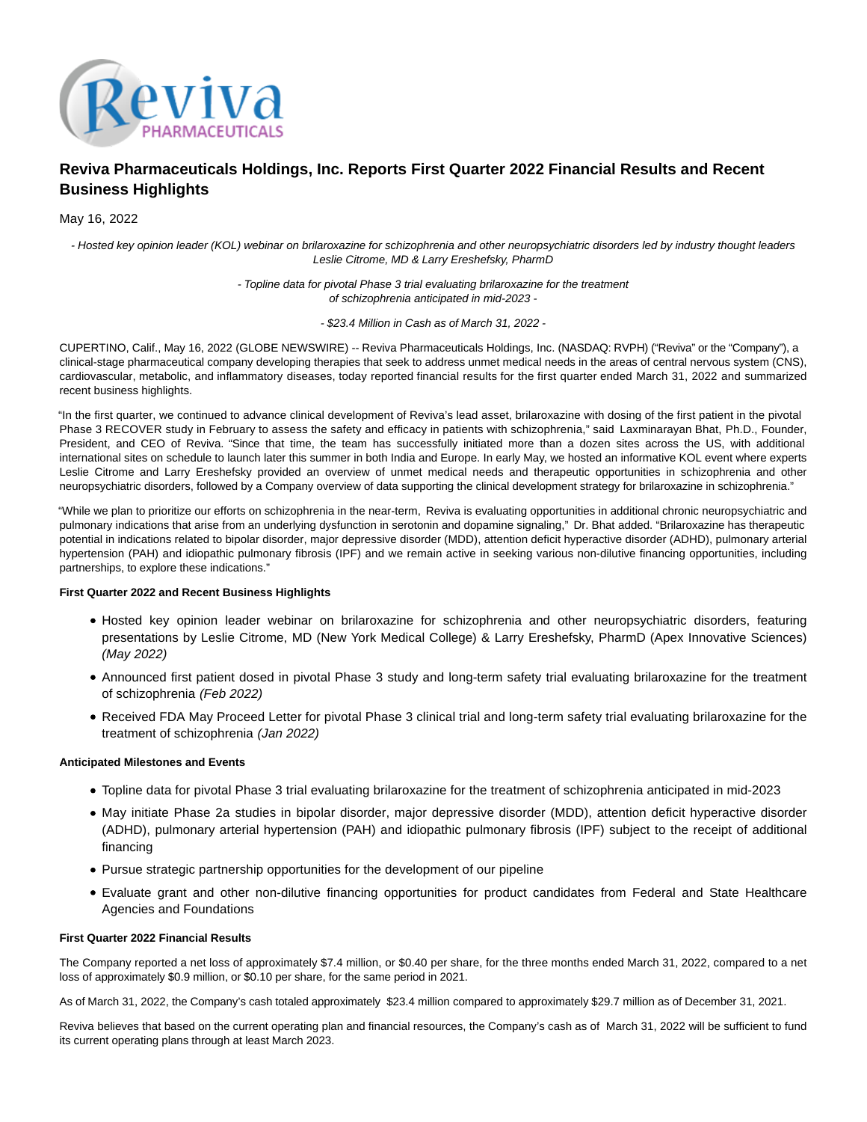

# **Reviva Pharmaceuticals Holdings, Inc. Reports First Quarter 2022 Financial Results and Recent Business Highlights**

May 16, 2022

- Hosted key opinion leader (KOL) webinar on brilaroxazine for schizophrenia and other neuropsychiatric disorders led by industry thought leaders Leslie Citrome, MD & Larry Ereshefsky, PharmD

> - Topline data for pivotal Phase 3 trial evaluating brilaroxazine for the treatment of schizophrenia anticipated in mid-2023 -

#### - \$23.4 Million in Cash as of March 31, 2022 -

CUPERTINO, Calif., May 16, 2022 (GLOBE NEWSWIRE) -- Reviva Pharmaceuticals Holdings, Inc. (NASDAQ: RVPH) ("Reviva" or the "Company"), a clinical-stage pharmaceutical company developing therapies that seek to address unmet medical needs in the areas of central nervous system (CNS), cardiovascular, metabolic, and inflammatory diseases, today reported financial results for the first quarter ended March 31, 2022 and summarized recent business highlights.

"In the first quarter, we continued to advance clinical development of Reviva's lead asset, brilaroxazine with dosing of the first patient in the pivotal Phase 3 RECOVER study in February to assess the safety and efficacy in patients with schizophrenia," said Laxminarayan Bhat, Ph.D., Founder, President, and CEO of Reviva. "Since that time, the team has successfully initiated more than a dozen sites across the US, with additional international sites on schedule to launch later this summer in both India and Europe. In early May, we hosted an informative KOL event where experts Leslie Citrome and Larry Ereshefsky provided an overview of unmet medical needs and therapeutic opportunities in schizophrenia and other neuropsychiatric disorders, followed by a Company overview of data supporting the clinical development strategy for brilaroxazine in schizophrenia."

"While we plan to prioritize our efforts on schizophrenia in the near-term, Reviva is evaluating opportunities in additional chronic neuropsychiatric and pulmonary indications that arise from an underlying dysfunction in serotonin and dopamine signaling," Dr. Bhat added. "Brilaroxazine has therapeutic potential in indications related to bipolar disorder, major depressive disorder (MDD), attention deficit hyperactive disorder (ADHD), pulmonary arterial hypertension (PAH) and idiopathic pulmonary fibrosis (IPF) and we remain active in seeking various non-dilutive financing opportunities, including partnerships, to explore these indications."

## **First Quarter 2022 and Recent Business Highlights**

- Hosted key opinion leader webinar on brilaroxazine for schizophrenia and other neuropsychiatric disorders, featuring presentations by Leslie Citrome, MD (New York Medical College) & Larry Ereshefsky, PharmD (Apex Innovative Sciences) (May 2022)
- Announced first patient dosed in pivotal Phase 3 study and long-term safety trial evaluating brilaroxazine for the treatment of schizophrenia (Feb 2022)
- Received FDA May Proceed Letter for pivotal Phase 3 clinical trial and long-term safety trial evaluating brilaroxazine for the treatment of schizophrenia (Jan 2022)

## **Anticipated Milestones and Events**

- Topline data for pivotal Phase 3 trial evaluating brilaroxazine for the treatment of schizophrenia anticipated in mid-2023
- May initiate Phase 2a studies in bipolar disorder, major depressive disorder (MDD), attention deficit hyperactive disorder (ADHD), pulmonary arterial hypertension (PAH) and idiopathic pulmonary fibrosis (IPF) subject to the receipt of additional financing
- Pursue strategic partnership opportunities for the development of our pipeline
- Evaluate grant and other non-dilutive financing opportunities for product candidates from Federal and State Healthcare Agencies and Foundations

#### **First Quarter 2022 Financial Results**

The Company reported a net loss of approximately \$7.4 million, or \$0.40 per share, for the three months ended March 31, 2022, compared to a net loss of approximately \$0.9 million, or \$0.10 per share, for the same period in 2021.

As of March 31, 2022, the Company's cash totaled approximately \$23.4 million compared to approximately \$29.7 million as of December 31, 2021.

Reviva believes that based on the current operating plan and financial resources, the Company's cash as of March 31, 2022 will be sufficient to fund its current operating plans through at least March 2023.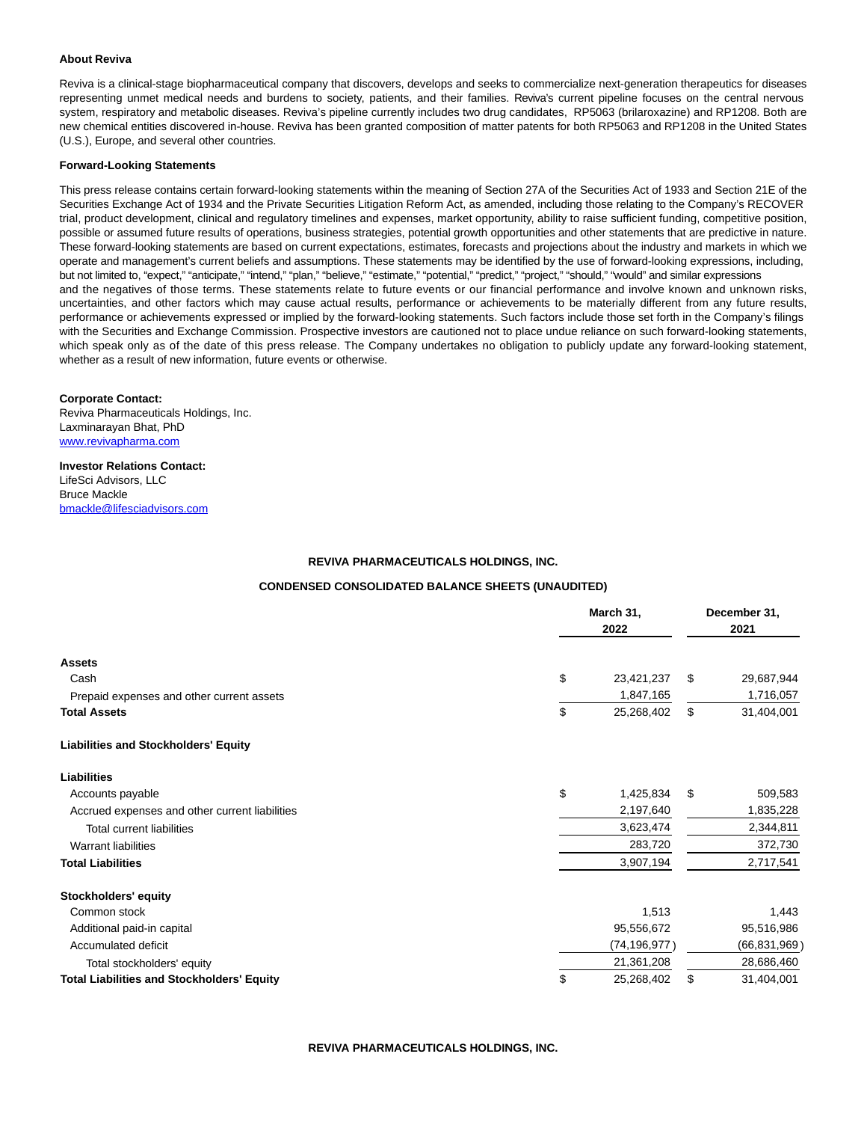#### **About Reviva**

Reviva is a clinical-stage biopharmaceutical company that discovers, develops and seeks to commercialize next-generation therapeutics for diseases representing unmet medical needs and burdens to society, patients, and their families. Reviva's current pipeline focuses on the central nervous system, respiratory and metabolic diseases. Reviva's pipeline currently includes two drug candidates, RP5063 (brilaroxazine) and RP1208. Both are new chemical entities discovered in-house. Reviva has been granted composition of matter patents for both RP5063 and RP1208 in the United States (U.S.), Europe, and several other countries.

## **Forward-Looking Statements**

This press release contains certain forward-looking statements within the meaning of Section 27A of the Securities Act of 1933 and Section 21E of the Securities Exchange Act of 1934 and the Private Securities Litigation Reform Act, as amended, including those relating to the Company's RECOVER trial, product development, clinical and regulatory timelines and expenses, market opportunity, ability to raise sufficient funding, competitive position, possible or assumed future results of operations, business strategies, potential growth opportunities and other statements that are predictive in nature. These forward-looking statements are based on current expectations, estimates, forecasts and projections about the industry and markets in which we operate and management's current beliefs and assumptions. These statements may be identified by the use of forward-looking expressions, including, but not limited to, "expect," "anticipate," "intend," "plan," "believe," "estimate," "potential," "predict," "project," "should," "would" and similar expressions and the negatives of those terms. These statements relate to future events or our financial performance and involve known and unknown risks, uncertainties, and other factors which may cause actual results, performance or achievements to be materially different from any future results, performance or achievements expressed or implied by the forward-looking statements. Such factors include those set forth in the Company's filings with the Securities and Exchange Commission. Prospective investors are cautioned not to place undue reliance on such forward-looking statements, which speak only as of the date of this press release. The Company undertakes no obligation to publicly update any forward-looking statement, whether as a result of new information, future events or otherwise.

### **Corporate Contact:**

Reviva Pharmaceuticals Holdings, Inc. Laxminarayan Bhat, PhD [www.revivapharma.com](https://www.globenewswire.com/Tracker?data=pdtzp7gVEOoI0FWPL7CvPXzyNSIhjFFy343gq7In79UuBWslX1Aj06T9Qfyzno39wFGZxV0TIqRxI-U-3oFrXhPr_8Lacc4QYzK5In-7ycE=)

#### **Investor Relations Contact:** LifeSci Advisors, LLC Bruce Mackle [bmackle@lifesciadvisors.com](https://www.globenewswire.com/Tracker?data=RughHroUdGiVB9KNM5hRewrOtR_BHRUNeMciAGc-X4CiUuXWjdKVEvhv3vHhRHGouL1B4l4rQLnU9lvuW-CcnmM0tFp0HAgRnmPOQmFOpWKYwVzezdDED3Dk1lh8v0WP)

## **REVIVA PHARMACEUTICALS HOLDINGS, INC.**

# **CONDENSED CONSOLIDATED BALANCE SHEETS (UNAUDITED)**

|                                                   | March 31,<br>2022 |    | December 31,<br>2021 |  |
|---------------------------------------------------|-------------------|----|----------------------|--|
| Assets                                            |                   |    |                      |  |
| Cash                                              | \$<br>23,421,237  | \$ | 29,687,944           |  |
| Prepaid expenses and other current assets         | 1,847,165         |    | 1,716,057            |  |
| <b>Total Assets</b>                               | \$<br>25,268,402  | \$ | 31,404,001           |  |
| <b>Liabilities and Stockholders' Equity</b>       |                   |    |                      |  |
| Liabilities                                       |                   |    |                      |  |
| Accounts payable                                  | \$<br>1,425,834   | S  | 509,583              |  |
| Accrued expenses and other current liabilities    | 2,197,640         |    | 1,835,228            |  |
| <b>Total current liabilities</b>                  | 3,623,474         |    | 2,344,811            |  |
| <b>Warrant liabilities</b>                        | 283,720           |    | 372,730              |  |
| <b>Total Liabilities</b>                          | 3,907,194         |    | 2,717,541            |  |
| Stockholders' equity                              |                   |    |                      |  |
| Common stock                                      | 1,513             |    | 1,443                |  |
| Additional paid-in capital                        | 95,556,672        |    | 95,516,986           |  |
| Accumulated deficit                               | (74, 196, 977)    |    | (66, 831, 969)       |  |
| Total stockholders' equity                        | 21,361,208        |    | 28,686,460           |  |
| <b>Total Liabilities and Stockholders' Equity</b> | \$<br>25,268,402  | \$ | 31,404,001           |  |

**REVIVA PHARMACEUTICALS HOLDINGS, INC.**